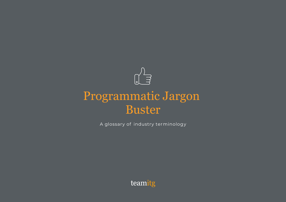

# Programmatic Jargon Buster

A glossary of industry terminology

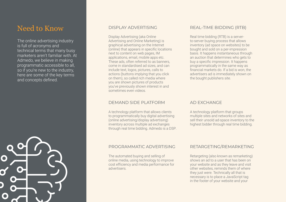### Need to Know DISPLAY ADVERTISING

The online advertising industry is full of acronyms and technical terms that many busy marketers aren't familiar with. At Admedo, we believe in making programmatic accessible to all, so if you're new to the industry, here are some of the key terms and concepts defined.

Display Advertising (aka Online Advertising and Online Marketing) is graphical advertising on the Internet (online) that appears in specific locations next to content on web pages, IM applications, email, mobile apps etc. These ads, often referred to as banners, come in standardised ad sizes, and can include text, logos, pictures, calls to actions (buttons implying that you click on them), so called rich media where you are shown pictures of products you've previously shown interest in and sometimes even videos.

#### DEMAND SIDE PLATFORM

A technology platform that allows clients to programmatically buy digital advertising (online advertising/display advertising) inventory across multiple ad exchanges through real time bidding. Admedo is a DSP.

### REAL-TIME BIDDING (RTB)

Real time bidding (RTB) is a serverto-server buying process that allows inventory (ad space on websites) to be bought and sold on a per-impression basis. It happens instantaneous through an auction that determines who gets to buy a specific impression. It happens programmatically in the same way as financial markets do. If a bid is won, the advertisers ad is immediately shown on the bought publishers site.

#### AD EXCHANGE

A technology platform that groups multiple sites and networks of sites and sell their unsold ad-space inventory to the highest bidder through real time bidding.

#### PROGRAMMATIC ADVERTISING RETARGETING/REMARKETING

The automated buying and selling of online media, using technology to improve cost efficiency and media performance for advertisers.

Retargeting (also known as remarketing) shows an ad to a user that has been on your website and as they leave and visit other websites, reminds them of where they just were. Technically all that is necessary is to place a JavaScript tag in the footer of your website and your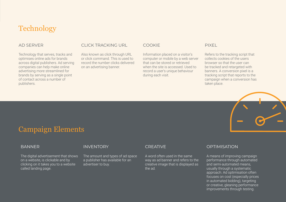## **Technology**

#### AD SERVER

Technology that serves, tracks and optimises online ads for brands across digital publishers. Ad serving companies can help make online advertising more streamlined for brands by serving as a single point of contact across a number of publishers.

#### CLICK TRACKING URL

Also known as click through URL or click command. This is used to record the number clicks delivered on an advertising banner.

#### COOKIE

Information placed on a visitor's computer or mobile by a web server that can be stored or retrieved when the site is accessed. Used to record a user's unique behaviour during each visit.

#### PIXEL

Refers to the tracking script that collects cookies of the users browser so that the user can be tracked and retargeted with banners. A conversion pixel is a tracking script that reports to the campaign when a conversion has taken place.



## Campaign Elements

#### **BANNER**

The digital advertisement that shows on a website, is clickable and by clicking on it takes you to a website called landing page.

#### INVENTORY

The amount and types of ad space a publisher has available for an advertiser to buy.

#### CREATIVE

A word often used in the same way as ad banner and refers to the creative image that is displayed as the ad.

#### **OPTIMISATION**

A means of improving campaign performance through automated and semi-automated means, usually through a systematic approach. Ad optimisation often focuses on cost (especially prices in automated bidding), targeting or creative, gleaning performance improvements through testing.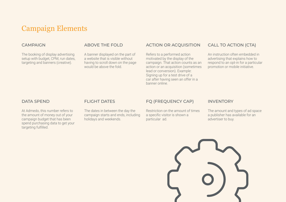## Campaign Elements

#### **CAMPAIGN**

The booking of display advertising setup with budget, CPM, run dates, targeting and banners (creative).

#### ABOVE THE FOLD

A banner displayed on the part of a website that is visible without having to scroll down on the page would be above the fold.

#### ACTION OR ACQUISITION

Refers to a performed action motivated by the display of the campaign. That action counts as an action or an acquisition (sometimes lead or conversion). Example: Signing up for a test drive of a car after having seen an offer in a banner online.

#### CALL TO ACTION (CTA)

An instruction often embedded in advertising that explains how to respond to an opt-in for a particular promotion or mobile initiative.

#### DATA SPEND

At Admedo, this number refers to the amount of money out of your campaign budget that has been spend purchasing data to get your targeting fulfilled.

#### FLIGHT DATES

The dates in between the day the campaign starts and ends, including holidays and weekends.

#### FQ (FREQUENCY CAP)

Restriction on the amount of times a specific visitor is shown a particular ad.

#### **INVENTORY**

The amount and types of ad space a publisher has available for an advertiser to buy.

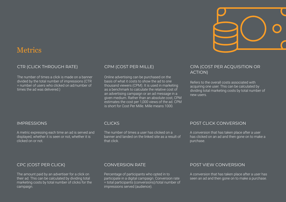

### **Metrics**

#### CTR (CLICK THROUGH RATE)

The number of times a click is made on a banner divided by the total number of impressions (CTR = number of users who clicked on ad/number of times the ad was delivered.)

#### CPM (COST PER MILLE)

Online advertising can be purchased on the basis of what it costs to show the ad to one thousand viewers (CPM). It is used in marketing as a benchmark to calculate the relative cost of an advertising campaign or an ad message in a given medium. Rather than an absolute cost, CPM estimates the cost per 1,000 views of the ad. CPM is short for Cost Per Mille. Mille means 1000.

#### CPA (COST PER ACQUISITION OR ACTION)

Refers to the overall costs associated with acquiring one user. This can be calculated by dividing total marketing costs by total number of new users.

#### IMPRESSIONS

A metric expressing each time an ad is served and displayed, whether it is seen or not, whether it is clicked on or not.

### CPC (COST PER CLICK)

The amount paid by an advertiser for a click on their ad. This can be calculated by dividing total marketing costs by total number of clicks for the campaign.

#### CLICKS

The number of times a user has clicked on a banner and landed on the linked site as a result of that click.

#### POST CLICK CONVERSION

A conversion that has taken place after a user has clicked on an ad and then gone on to make a purchase.

#### CONVERSION RATE

Percentage of participants who opted in to participate in a digital campaign. Conversion rate = total participants (conversions)/total number of impressions served (audience).

#### POST VIEW CONVERSION

A conversion that has taken place after a user has seen an ad and then gone on to make a purchase.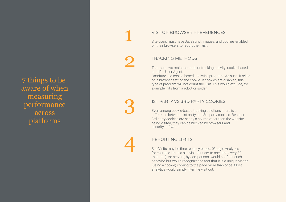7 things to be aware of when measuring performance across platforms

#### VISI TOR BR OWSER PREFERENCES

Site users must have JavaScript, images, and cookies enabled on their browsers to report their visit.

#### TR ACKING METHODS

There are two main methods of tracking activity: cookie-based and IP + User Agent.

Omniture is a cookie-based analytics program. As such, it relies on a browser setting the cooki e. If cookies are disabled, this type of program will not count the visit. This would e xclud e, for exampl e, hits from a robot or spide r .

#### 1ST PA RTY VS 3RD PA RTY COOKIES

Even among cookie-based tracking solutions, there is a 3rd party cookies are set by a source other than the website difference between 1st party and 3rd party cookies. Because being visited, they can be bloc ked by browsers and security software.

#### REPORTING LIMITS

Site Visits may be time recency based. (Google Analytics for example limits a site visit per user to one time every 30 minutes.) Ad servers, by comparison, would not filter such behavio r, but would recognize the fact that it is a unique visitor (using a cookie) coming to the page more than onc e. Most analytics would simply filter the visit out.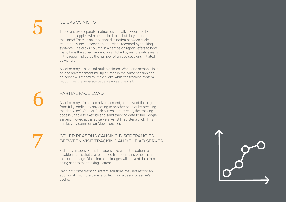### CLICKS VS VISITS

These are two separate metrics, essentially it would be like comparing apples with pears - both fruit but they are not the same! There is an important distinction between clicks recorded by the ad server and the visits recorded by tracking systems. The clicks column in a campaign report refers to how many time the advertisement was clicked by visitors while visits in the report indicates the number of unique sessions initiated by visitors.

A visitor may click an ad multiple times. When one person clicks on one advertisement multiple times in the same session, the ad server will record multiple clicks while the tracking system recognizes the separate page views as one visit.

### PARTIAL PAGE LOAD

A visitor may click on an advertisement, but prevent the page from fully loading by navigating to another page or by pressing their browser's Stop or Back button. In this case, the tracking code is unable to execute and send tracking data to the Google servers. However, the ad servers will still register a click. This can be very common on Mobile devices.

#### OTHER REASONS CAUSING DISCREPANCIES BETWEEN VISIT TRACKING AND THE AD SERVER

3rd party images: Some browsers give users the option to disable images that are requested from domains other than the current page. Disabling such images will prevent data from being sent to the tracking system.

Caching: Some tracking system solutions may not record an additional visit if the page is pulled from a user's or server's cache.

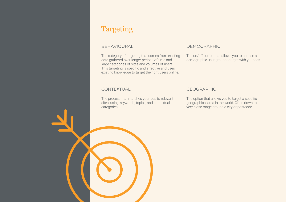## Targeting

#### BEHAVIOURAL

The category of targeting that comes from existing data gathered over longer periods of time and large categories of sites and volumes of users. This targeting is specific and effective and uses existing knowledge to target the right users online.

### **CONTEXTUAL**

The process that matches your ads to relevant sites, using keywords, topics, and contextual categories.

#### DEMOGRAPHIC

demographic user group to target with your ads. The on/off option that allows you to choose a

### GEOGRAPHIC

The option that allows you to target a specific geographical area in the world. Often down to very close range around a city or postcode.